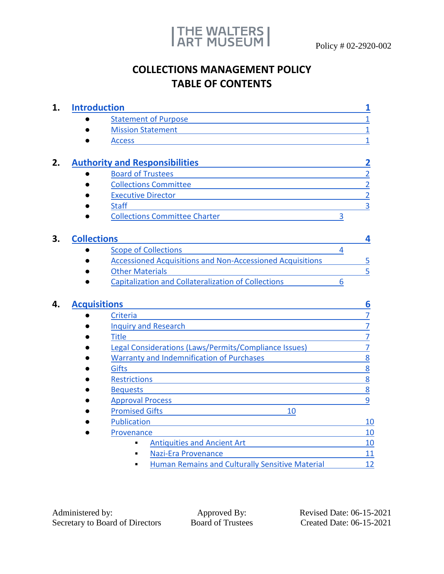

# **COLLECTIONS MANAGEMENT POLICY TABLE OF CONTENTS**

| <b>Introduction</b> |                                                                  |   | 1              |
|---------------------|------------------------------------------------------------------|---|----------------|
|                     | <b>Statement of Purpose</b>                                      |   | $\mathbf{1}$   |
|                     | <b>Mission Statement</b>                                         |   | $\overline{1}$ |
|                     | <b>Access</b>                                                    |   | 1              |
|                     | <b>Authority and Responsibilities</b>                            |   | 2              |
|                     | <b>Board of Trustees</b>                                         |   | $\overline{2}$ |
|                     | <b>Collections Committee</b>                                     |   | $\overline{2}$ |
|                     | <b>Executive Director</b>                                        |   | $\overline{2}$ |
|                     | <b>Staff</b>                                                     |   | $\overline{3}$ |
|                     | <b>Collections Committee Charter</b>                             | 3 |                |
|                     | <b>Collections</b>                                               |   | 4              |
|                     | <b>Scope of Collections</b>                                      | 4 |                |
|                     | <b>Accessioned Acquisitions and Non-Accessioned Acquisitions</b> |   | 5              |
|                     | <b>Other Materials</b>                                           |   | 5              |
|                     |                                                                  |   |                |
|                     | <b>Capitalization and Collateralization of Collections</b>       | 6 |                |
|                     |                                                                  |   |                |
|                     | <b>Acquisitions</b>                                              |   | 6              |
|                     | Criteria                                                         |   | $\overline{7}$ |
|                     | <b>Inquiry and Research</b>                                      |   | $\overline{7}$ |
|                     | <b>Title</b>                                                     |   | $\overline{7}$ |
|                     | Legal Considerations (Laws/Permits/Compliance Issues)            |   | $\overline{7}$ |
|                     | <b>Warranty and Indemnification of Purchases</b>                 |   | 8              |
|                     | <b>Gifts</b>                                                     |   |                |
|                     | <b>Restrictions</b>                                              |   | 8              |
|                     | <b>Bequests</b>                                                  |   | $\overline{8}$ |
|                     |                                                                  |   | 8<br>9         |
|                     | <b>Approval Process</b>                                          |   |                |
|                     | <b>Promised Gifts</b><br>10<br><b>Publication</b>                |   | 10             |
|                     | Provenance                                                       |   | 10             |
|                     | <b>Antiquities and Ancient Art</b><br>п                          |   | 10             |
|                     | <b>Nazi-Era Provenance</b>                                       |   | 11             |
|                     | <b>Human Remains and Culturally Sensitive Material</b>           |   | 12             |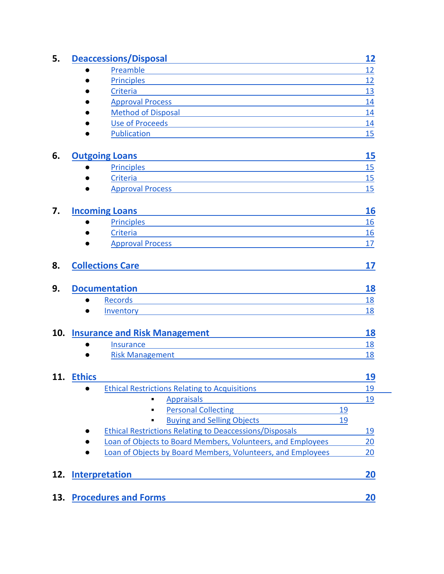| 5.  | <b>Deaccessions/Disposal</b>                                                                                                                   | 12        |
|-----|------------------------------------------------------------------------------------------------------------------------------------------------|-----------|
|     | Preamble                                                                                                                                       | 12        |
|     | <b>Principles</b>                                                                                                                              | 12        |
|     | Criteria                                                                                                                                       | 13        |
|     | <b>Approval Process</b>                                                                                                                        | <u>14</u> |
|     | <b>Method of Disposal</b>                                                                                                                      | 14        |
|     | <b>Use of Proceeds</b>                                                                                                                         | 14        |
|     | Publication                                                                                                                                    | 15        |
| 6.  | <b>Outgoing Loans</b><br><u> 1989 - Johann Stein, marwolaethau a bhann an t-Amhainn an t-Amhainn an t-Amhainn an t-Amhainn an t-Amhainn an</u> | 15        |
|     | Principles<br>●                                                                                                                                | 15        |
|     | Criteria                                                                                                                                       | 15        |
|     | <b>Approval Process</b>                                                                                                                        | 15        |
| 7.  | <b>Incoming Loans</b><br><u> 1980 - Johann Barn, mars ann an t-Amhain an t-Amhain an t-Amhain an t-Amhain an t-Amhain an t-Amhain an t-Amh</u> | 16        |
|     | <b>Principles</b>                                                                                                                              | 16        |
|     | Criteria                                                                                                                                       | 16        |
|     | <b>Approval Process</b>                                                                                                                        | 17        |
| 8.  | <b>Collections Care</b>                                                                                                                        | 17        |
| 9.  | <b>Documentation</b>                                                                                                                           | 18        |
|     | <b>Records</b>                                                                                                                                 | 18        |
|     | Inventory                                                                                                                                      | 18        |
| 10. | <b>Insurance and Risk Management</b>                                                                                                           | 18        |
|     | <b>Insurance</b>                                                                                                                               | <u>18</u> |
|     | <b>Risk Management</b>                                                                                                                         | 18        |
| 11. | <b>Ethics</b>                                                                                                                                  | <u>19</u> |
|     | <b>Ethical Restrictions Relating to Acquisitions</b>                                                                                           | 19        |
|     | <b>Appraisals</b>                                                                                                                              | 19        |
|     | <b>Personal Collecting</b><br>19                                                                                                               |           |
|     | <b>Buying and Selling Objects</b><br>19                                                                                                        |           |
|     | <b>Ethical Restrictions Relating to Deaccessions/Disposals</b>                                                                                 | 19        |
|     | Loan of Objects to Board Members, Volunteers, and Employees                                                                                    | 20        |
|     | Loan of Objects by Board Members, Volunteers, and Employees                                                                                    | 20        |
| 12. | <b>Interpretation</b>                                                                                                                          | 20        |
|     |                                                                                                                                                |           |
| 13. | <b>Procedures and Forms</b>                                                                                                                    | 20        |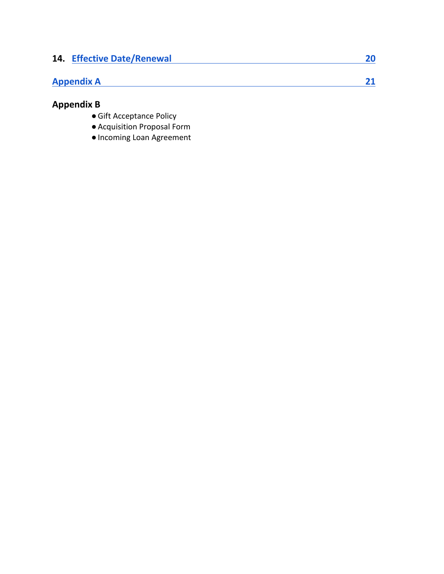| <b>14. Effective Date/Renewal</b> |  |
|-----------------------------------|--|
| <b>Appendix A</b>                 |  |

# **Appendix B**

- ●Gift Acceptance Policy
- ●Acquisition Proposal Form
- ●Incoming Loan Agreement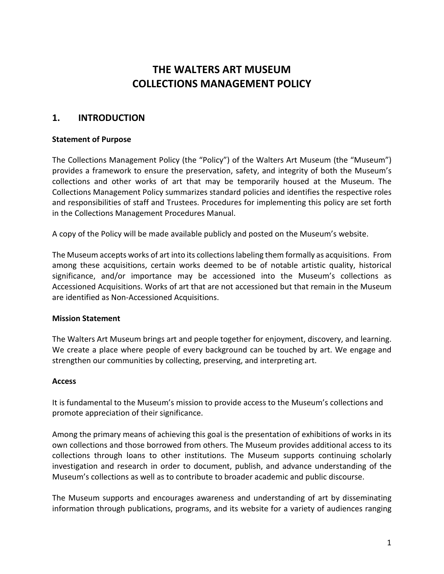# **THE WALTERS ART MUSEUM COLLECTIONS MANAGEMENT POLICY**

## <span id="page-3-0"></span>**1. INTRODUCTION**

### <span id="page-3-1"></span>**Statement of Purpose**

The Collections Management Policy (the "Policy") of the Walters Art Museum (the "Museum") provides a framework to ensure the preservation, safety, and integrity of both the Museum's collections and other works of art that may be temporarily housed at the Museum. The Collections Management Policy summarizes standard policies and identifies the respective roles and responsibilities of staff and Trustees. Procedures for implementing this policy are set forth in the Collections Management Procedures Manual.

A copy of the Policy will be made available publicly and posted on the Museum's website.

The Museum accepts works of art into its collections labeling them formally as acquisitions. From among these acquisitions, certain works deemed to be of notable artistic quality, historical significance, and/or importance may be accessioned into the Museum's collections as Accessioned Acquisitions. Works of art that are not accessioned but that remain in the Museum are identified as Non-Accessioned Acquisitions.

#### <span id="page-3-2"></span>**Mission Statement**

The Walters Art Museum brings art and people together for enjoyment, discovery, and learning. We create a place where people of every background can be touched by art. We engage and strengthen our communities by collecting, preserving, and interpreting art.

#### <span id="page-3-3"></span>**Access**

It is fundamental to the Museum's mission to provide access to the Museum's collections and promote appreciation of their significance.

Among the primary means of achieving this goal is the presentation of exhibitions of works in its own collections and those borrowed from others. The Museum provides additional access to its collections through loans to other institutions. The Museum supports continuing scholarly investigation and research in order to document, publish, and advance understanding of the Museum's collections as well as to contribute to broader academic and public discourse.

The Museum supports and encourages awareness and understanding of art by disseminating information through publications, programs, and its website for a variety of audiences ranging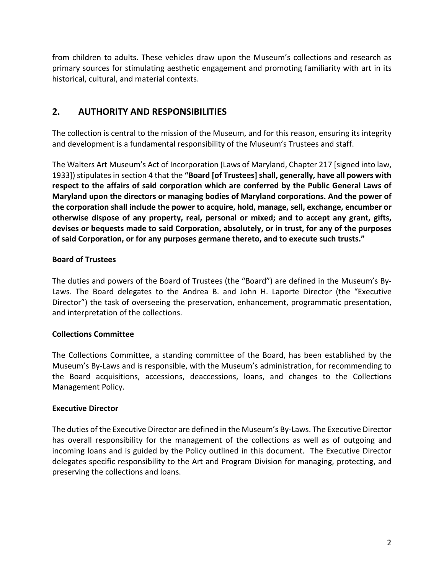from children to adults. These vehicles draw upon the Museum's collections and research as primary sources for stimulating aesthetic engagement and promoting familiarity with art in its historical, cultural, and material contexts.

# <span id="page-4-0"></span>**2. AUTHORITY AND RESPONSIBILITIES**

The collection is central to the mission of the Museum, and for this reason, ensuring its integrity and development is a fundamental responsibility of the Museum's Trustees and staff.

The Walters Art Museum's Act of Incorporation (Laws of Maryland, Chapter 217 [signed into law, 1933]) stipulates in section 4 that the **"Board [of Trustees] shall, generally, have all powers with respect to the affairs of said corporation which are conferred by the Public General Laws of Maryland upon the directors or managing bodies of Maryland corporations. And the power of the corporation shall include the power to acquire, hold, manage, sell, exchange, encumber or otherwise dispose of any property, real, personal or mixed; and to accept any grant, gifts, devises or bequests made to said Corporation, absolutely, or in trust, for any of the purposes of said Corporation, or for any purposes germane thereto, and to execute such trusts."**

## <span id="page-4-1"></span>**Board of Trustees**

The duties and powers of the Board of Trustees (the "Board") are defined in the Museum's By-Laws. The Board delegates to the Andrea B. and John H. Laporte Director (the "Executive Director") the task of overseeing the preservation, enhancement, programmatic presentation, and interpretation of the collections.

## <span id="page-4-2"></span>**Collections Committee**

The Collections Committee, a standing committee of the Board, has been established by the Museum's By-Laws and is responsible, with the Museum's administration, for recommending to the Board acquisitions, accessions, deaccessions, loans, and changes to the Collections Management Policy.

## <span id="page-4-3"></span>**Executive Director**

The duties of the Executive Director are defined in the Museum's By-Laws. The Executive Director has overall responsibility for the management of the collections as well as of outgoing and incoming loans and is guided by the Policy outlined in this document. The Executive Director delegates specific responsibility to the Art and Program Division for managing, protecting, and preserving the collections and loans.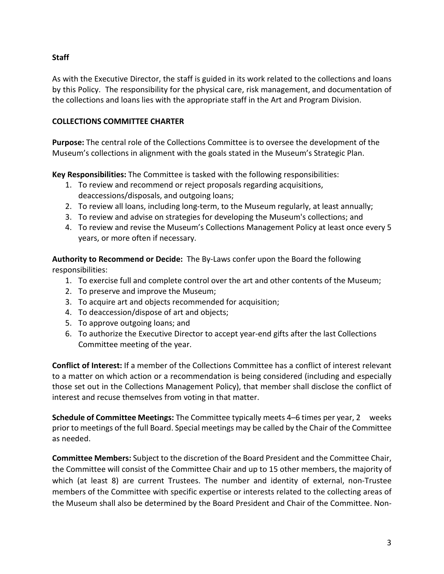## <span id="page-5-0"></span>**Staff**

As with the Executive Director, the staff is guided in its work related to the collections and loans by this Policy. The responsibility for the physical care, risk management, and documentation of the collections and loans lies with the appropriate staff in the Art and Program Division.

## <span id="page-5-1"></span>**COLLECTIONS COMMITTEE CHARTER**

**Purpose:** The central role of the Collections Committee is to oversee the development of the Museum's collections in alignment with the goals stated in the Museum's Strategic Plan.

**Key Responsibilities:** The Committee is tasked with the following responsibilities:

- 1. To review and recommend or reject proposals regarding acquisitions, deaccessions/disposals, and outgoing loans;
- 2. To review all loans, including long-term, to the Museum regularly, at least annually;
- 3. To review and advise on strategies for developing the Museum's collections; and
- 4. To review and revise the Museum's Collections Management Policy at least once every 5 years, or more often if necessary.

**Authority to Recommend or Decide:** The By-Laws confer upon the Board the following responsibilities:

- 1. To exercise full and complete control over the art and other contents of the Museum;
- 2. To preserve and improve the Museum;
- 3. To acquire art and objects recommended for acquisition;
- 4. To deaccession/dispose of art and objects;
- 5. To approve outgoing loans; and
- 6. To authorize the Executive Director to accept year-end gifts after the last Collections Committee meeting of the year.

**Conflict of Interest:** If a member of the Collections Committee has a conflict of interest relevant to a matter on which action or a recommendation is being considered (including and especially those set out in the Collections Management Policy), that member shall disclose the conflict of interest and recuse themselves from voting in that matter.

**Schedule of Committee Meetings:** The Committee typically meets 4–6 times per year, 2 weeks prior to meetings of the full Board. Special meetings may be called by the Chair of the Committee as needed.

**Committee Members:** Subject to the discretion of the Board President and the Committee Chair, the Committee will consist of the Committee Chair and up to 15 other members, the majority of which (at least 8) are current Trustees. The number and identity of external, non-Trustee members of the Committee with specific expertise or interests related to the collecting areas of the Museum shall also be determined by the Board President and Chair of the Committee. Non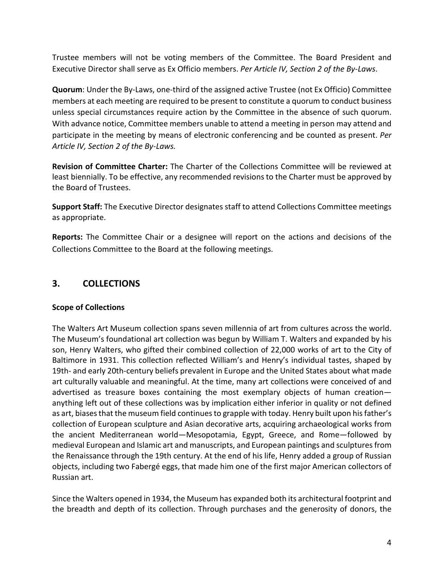Trustee members will not be voting members of the Committee. The Board President and Executive Director shall serve as Ex Officio members. *Per Article IV, Section 2 of the By-Laws*.

**Quorum**: Under the By-Laws, one-third of the assigned active Trustee (not Ex Officio) Committee members at each meeting are required to be present to constitute a quorum to conduct business unless special circumstances require action by the Committee in the absence of such quorum. With advance notice, Committee members unable to attend a meeting in person may attend and participate in the meeting by means of electronic conferencing and be counted as present. *Per Article IV, Section 2 of the By-Laws.*

**Revision of Committee Charter:** The Charter of the Collections Committee will be reviewed at least biennially. To be effective, any recommended revisions to the Charter must be approved by the Board of Trustees.

**Support Staff:** The Executive Director designates staff to attend Collections Committee meetings as appropriate.

**Reports:** The Committee Chair or a designee will report on the actions and decisions of the Collections Committee to the Board at the following meetings.

# <span id="page-6-0"></span>**3. COLLECTIONS**

## <span id="page-6-1"></span>**Scope of Collections**

The Walters Art Museum collection spans seven millennia of art from cultures across the world. The Museum's foundational art collection was begun by William T. Walters and expanded by his son, Henry Walters, who gifted their combined collection of 22,000 works of art to the City of Baltimore in 1931. This collection reflected William's and Henry's individual tastes, shaped by 19th- and early 20th-century beliefs prevalent in Europe and the United States about what made art culturally valuable and meaningful. At the time, many art collections were conceived of and advertised as treasure boxes containing the most exemplary objects of human creation anything left out of these collections was by implication either inferior in quality or not defined as art, biases that the museum field continues to grapple with today. Henry built upon his father's collection of European sculpture and Asian decorative arts, acquiring archaeological works from the ancient Mediterranean world—Mesopotamia, Egypt, Greece, and Rome—followed by medieval European and Islamic art and manuscripts, and European paintings and sculptures from the Renaissance through the 19th century. At the end of his life, Henry added a group of Russian objects, including two Fabergé eggs, that made him one of the first major American collectors of Russian art.

Since the Walters opened in 1934, the Museum has expanded both its architectural footprint and the breadth and depth of its collection. Through purchases and the generosity of donors, the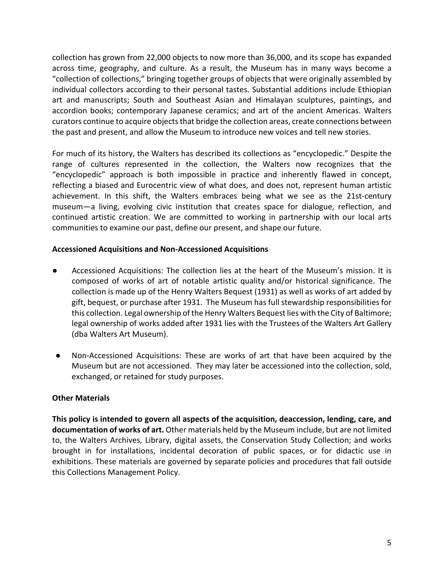collection has grown from 22,000 objects to now more than 36,000, and its scope has expanded across time, geography, and culture. As a result, the Museum has in many ways become a "collection of collections," bringing together groups of objects that were originally assembled by individual collectors according to their personal tastes. Substantial additions include Ethiopian art and manuscripts; South and Southeast Asian and Himalayan sculptures, paintings, and accordion books; contemporary Japanese ceramics; and art of the ancient Americas. Walters curators continue to acquire objects that bridge the collection areas, create connections between the past and present, and allow the Museum to introduce new voices and tell new stories.

For much of its history, the Walters has described its collections as "encyclopedic." Despite the range of cultures represented in the collection, the Walters now recognizes that the "encyclopedic" approach is both impossible in practice and inherently flawed in concept, reflecting a biased and Eurocentric view of what does, and does not, represent human artistic achievement. In this shift, the Walters embraces being what we see as the 21st-century museum—a living, evolving civic institution that creates space for dialogue, reflection, and continued artistic creation. We are committed to working in partnership with our local arts communities to examine our past, define our present, and shape our future.

### <span id="page-7-0"></span>**Accessioned Acquisitions and Non-Accessioned Acquisitions**

- Accessioned Acquisitions: The collection lies at the heart of the Museum's mission. It is composed of works of art of notable artistic quality and/or historical significance. The collection is made up of the Henry Walters Bequest (1931) as well as works of art added by gift, bequest, or purchase after 1931. The Museum has full stewardship responsibilities for this collection. Legal ownership of the Henry Walters Bequest lies with the City of Baltimore; legal ownership of works added after 1931 lies with the Trustees of the Walters Art Gallery (dba Walters Art Museum).
- Non-Accessioned Acquisitions: These are works of art that have been acquired by the Museum but are not accessioned. They may later be accessioned into the collection, sold, exchanged, or retained for study purposes.

#### <span id="page-7-1"></span>**Other Materials**

**This policy is intended to govern all aspects of the acquisition, deaccession, lending, care, and documentation of works of art.** Other materials held by the Museum include, but are not limited to, the Walters Archives, Library, digital assets, the Conservation Study Collection; and works brought in for installations, incidental decoration of public spaces, or for didactic use in exhibitions. These materials are governed by separate policies and procedures that fall outside this Collections Management Policy.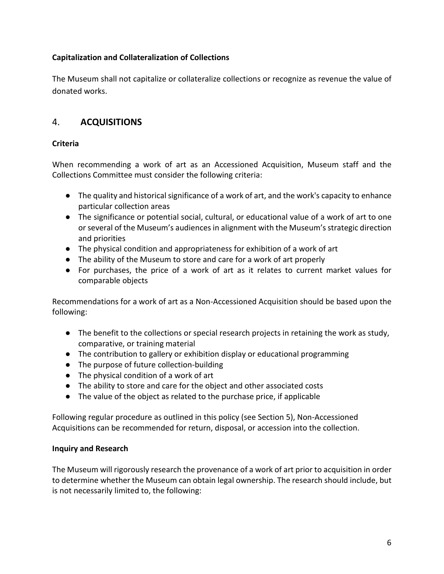## <span id="page-8-0"></span>**Capitalization and Collateralization of Collections**

The Museum shall not capitalize or collateralize collections or recognize as revenue the value of donated works.

# <span id="page-8-1"></span>4. **ACQUISITIONS**

## <span id="page-8-2"></span>**Criteria**

When recommending a work of art as an Accessioned Acquisition, Museum staff and the Collections Committee must consider the following criteria:

- The quality and historical significance of a work of art, and the work's capacity to enhance particular collection areas
- The significance or potential social, cultural, or educational value of a work of art to one or several of the Museum's audiences in alignment with the Museum's strategic direction and priorities
- The physical condition and appropriateness for exhibition of a work of art
- The ability of the Museum to store and care for a work of art properly
- For purchases, the price of a work of art as it relates to current market values for comparable objects

Recommendations for a work of art as a Non-Accessioned Acquisition should be based upon the following:

- The benefit to the collections or special research projects in retaining the work as study, comparative, or training material
- The contribution to gallery or exhibition display or educational programming
- The purpose of future collection-building
- The physical condition of a work of art
- The ability to store and care for the object and other associated costs
- <span id="page-8-3"></span>● The value of the object as related to the purchase price, if applicable

Following regular procedure as outlined in this policy (see Section 5), Non-Accessioned Acquisitions can be recommended for return, disposal, or accession into the collection.

## **Inquiry and Research**

The Museum will rigorously research the provenance of a work of art prior to acquisition in order to determine whether the Museum can obtain legal ownership. The research should include, but is not necessarily limited to, the following: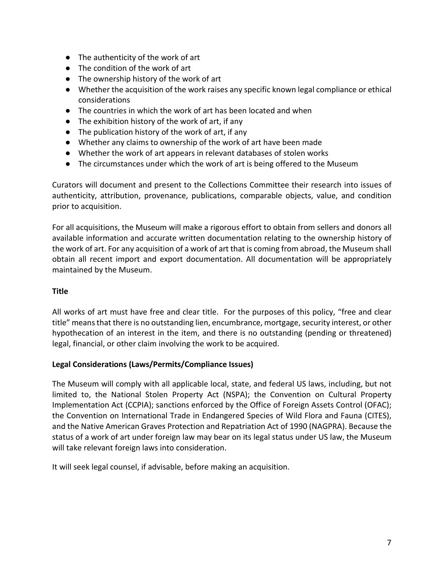- The authenticity of the work of art
- The condition of the work of art
- The ownership history of the work of art
- Whether the acquisition of the work raises any specific known legal compliance or ethical considerations
- The countries in which the work of art has been located and when
- The exhibition history of the work of art, if any
- The publication history of the work of art, if any
- Whether any claims to ownership of the work of art have been made
- Whether the work of art appears in relevant databases of stolen works
- The circumstances under which the work of art is being offered to the Museum

Curators will document and present to the Collections Committee their research into issues of authenticity, attribution, provenance, publications, comparable objects, value, and condition prior to acquisition.

For all acquisitions, the Museum will make a rigorous effort to obtain from sellers and donors all available information and accurate written documentation relating to the ownership history of the work of art. For any acquisition of a work of art that is coming from abroad, the Museum shall obtain all recent import and export documentation. All documentation will be appropriately maintained by the Museum.

## <span id="page-9-0"></span>**Title**

All works of art must have free and clear title. For the purposes of this policy, "free and clear title" means that there is no outstanding lien, encumbrance, mortgage, security interest, or other hypothecation of an interest in the item, and there is no outstanding (pending or threatened) legal, financial, or other claim involving the work to be acquired.

## <span id="page-9-1"></span>**Legal Considerations (Laws/Permits/Compliance Issues)**

The Museum will comply with all applicable local, state, and federal US laws, including, but not limited to, the National Stolen Property Act (NSPA); the Convention on Cultural Property Implementation Act (CCPIA); sanctions enforced by the Office of Foreign Assets Control (OFAC); the Convention on International Trade in Endangered Species of Wild Flora and Fauna (CITES), and the Native American Graves Protection and Repatriation Act of 1990 (NAGPRA). Because the status of a work of art under foreign law may bear on its legal status under US law, the Museum will take relevant foreign laws into consideration.

It will seek legal counsel, if advisable, before making an acquisition.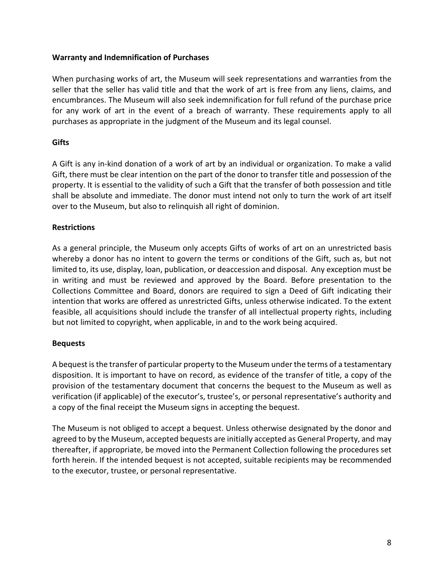#### <span id="page-10-0"></span>**Warranty and Indemnification of Purchases**

When purchasing works of art, the Museum will seek representations and warranties from the seller that the seller has valid title and that the work of art is free from any liens, claims, and encumbrances. The Museum will also seek indemnification for full refund of the purchase price for any work of art in the event of a breach of warranty. These requirements apply to all purchases as appropriate in the judgment of the Museum and its legal counsel.

## <span id="page-10-1"></span>**Gifts**

A Gift is any in-kind donation of a work of art by an individual or organization. To make a valid Gift, there must be clear intention on the part of the donor to transfer title and possession of the property. It is essential to the validity of such a Gift that the transfer of both possession and title shall be absolute and immediate. The donor must intend not only to turn the work of art itself over to the Museum, but also to relinquish all right of dominion.

## <span id="page-10-2"></span>**Restrictions**

As a general principle, the Museum only accepts Gifts of works of art on an unrestricted basis whereby a donor has no intent to govern the terms or conditions of the Gift, such as, but not limited to, its use, display, loan, publication, or deaccession and disposal. Any exception must be in writing and must be reviewed and approved by the Board. Before presentation to the Collections Committee and Board, donors are required to sign a Deed of Gift indicating their intention that works are offered as unrestricted Gifts, unless otherwise indicated. To the extent feasible, all acquisitions should include the transfer of all intellectual property rights, including but not limited to copyright, when applicable, in and to the work being acquired.

## <span id="page-10-3"></span>**Bequests**

A bequest is the transfer of particular property to the Museum under the terms of a testamentary disposition. It is important to have on record, as evidence of the transfer of title, a copy of the provision of the testamentary document that concerns the bequest to the Museum as well as verification (if applicable) of the executor's, trustee's, or personal representative's authority and a copy of the final receipt the Museum signs in accepting the bequest.

The Museum is not obliged to accept a bequest. Unless otherwise designated by the donor and agreed to by the Museum, accepted bequests are initially accepted as General Property, and may thereafter, if appropriate, be moved into the Permanent Collection following the procedures set forth herein. If the intended bequest is not accepted, suitable recipients may be recommended to the executor, trustee, or personal representative.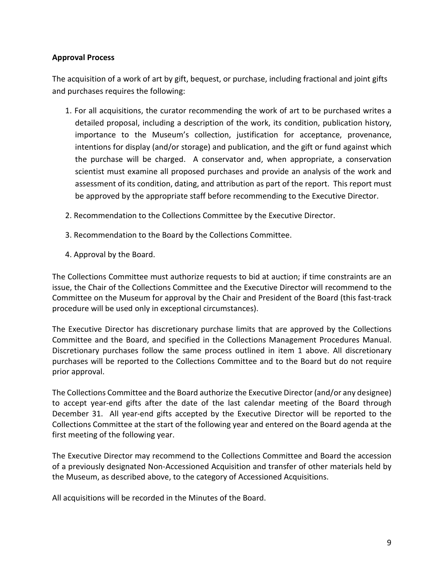## <span id="page-11-0"></span>**Approval Process**

The acquisition of a work of art by gift, bequest, or purchase, including fractional and joint gifts and purchases requires the following:

- 1. For all acquisitions, the curator recommending the work of art to be purchased writes a detailed proposal, including a description of the work, its condition, publication history, importance to the Museum's collection, justification for acceptance, provenance, intentions for display (and/or storage) and publication, and the gift or fund against which the purchase will be charged. A conservator and, when appropriate, a conservation scientist must examine all proposed purchases and provide an analysis of the work and assessment of its condition, dating, and attribution as part of the report. This report must be approved by the appropriate staff before recommending to the Executive Director.
- 2. Recommendation to the Collections Committee by the Executive Director.
- 3. Recommendation to the Board by the Collections Committee.
- 4. Approval by the Board.

The Collections Committee must authorize requests to bid at auction; if time constraints are an issue, the Chair of the Collections Committee and the Executive Director will recommend to the Committee on the Museum for approval by the Chair and President of the Board (this fast-track procedure will be used only in exceptional circumstances).

The Executive Director has discretionary purchase limits that are approved by the Collections Committee and the Board, and specified in the Collections Management Procedures Manual. Discretionary purchases follow the same process outlined in item 1 above. All discretionary purchases will be reported to the Collections Committee and to the Board but do not require prior approval.

The Collections Committee and the Board authorize the Executive Director (and/or any designee) to accept year-end gifts after the date of the last calendar meeting of the Board through December 31. All year-end gifts accepted by the Executive Director will be reported to the Collections Committee at the start of the following year and entered on the Board agenda at the first meeting of the following year.

The Executive Director may recommend to the Collections Committee and Board the accession of a previously designated Non-Accessioned Acquisition and transfer of other materials held by the Museum, as described above, to the category of Accessioned Acquisitions.

All acquisitions will be recorded in the Minutes of the Board.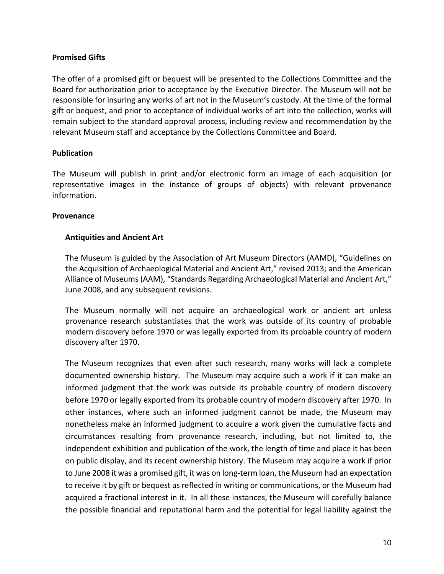## <span id="page-12-0"></span>**Promised Gifts**

The offer of a promised gift or bequest will be presented to the Collections Committee and the Board for authorization prior to acceptance by the Executive Director. The Museum will not be responsible for insuring any works of art not in the Museum's custody. At the time of the formal gift or bequest, and prior to acceptance of individual works of art into the collection, works will remain subject to the standard approval process, including review and recommendation by the relevant Museum staff and acceptance by the Collections Committee and Board.

### <span id="page-12-1"></span>**Publication**

The Museum will publish in print and/or electronic form an image of each acquisition (or representative images in the instance of groups of objects) with relevant provenance information.

#### <span id="page-12-2"></span>**Provenance**

### <span id="page-12-3"></span>**Antiquities and Ancient Art**

The Museum is guided by the Association of Art Museum Directors (AAMD), "Guidelines on the Acquisition of Archaeological Material and Ancient Art," revised 2013; and the American Alliance of Museums (AAM), "Standards Regarding Archaeological Material and Ancient Art," June 2008, and any subsequent revisions.

The Museum normally will not acquire an archaeological work or ancient art unless provenance research substantiates that the work was outside of its country of probable modern discovery before 1970 or was legally exported from its probable country of modern discovery after 1970.

The Museum recognizes that even after such research, many works will lack a complete documented ownership history. The Museum may acquire such a work if it can make an informed judgment that the work was outside its probable country of modern discovery before 1970 or legally exported from its probable country of modern discovery after 1970. In other instances, where such an informed judgment cannot be made, the Museum may nonetheless make an informed judgment to acquire a work given the cumulative facts and circumstances resulting from provenance research, including, but not limited to, the independent exhibition and publication of the work, the length of time and place it has been on public display, and its recent ownership history. The Museum may acquire a work if prior to June 2008 it was a promised gift, it was on long-term loan, the Museum had an expectation to receive it by gift or bequest as reflected in writing or communications, or the Museum had acquired a fractional interest in it. In all these instances, the Museum will carefully balance the possible financial and reputational harm and the potential for legal liability against the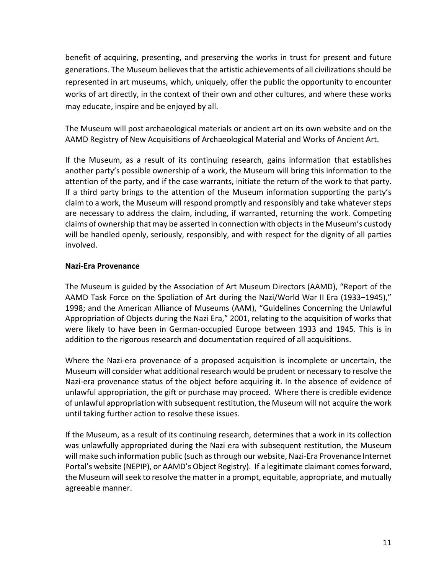benefit of acquiring, presenting, and preserving the works in trust for present and future generations. The Museum believes that the artistic achievements of all civilizations should be represented in art museums, which, uniquely, offer the public the opportunity to encounter works of art directly, in the context of their own and other cultures, and where these works may educate, inspire and be enjoyed by all.

The Museum will post archaeological materials or ancient art on its own website and on the AAMD Registry of New Acquisitions of Archaeological Material and Works of Ancient Art.

If the Museum, as a result of its continuing research, gains information that establishes another party's possible ownership of a work, the Museum will bring this information to the attention of the party, and if the case warrants, initiate the return of the work to that party. If a third party brings to the attention of the Museum information supporting the party's claim to a work, the Museum will respond promptly and responsibly and take whatever steps are necessary to address the claim, including, if warranted, returning the work. Competing claims of ownership that may be asserted in connection with objects in the Museum's custody will be handled openly, seriously, responsibly, and with respect for the dignity of all parties involved.

### <span id="page-13-0"></span>**Nazi-Era Provenance**

The Museum is guided by the Association of Art Museum Directors (AAMD), "Report of the AAMD Task Force on the Spoliation of Art during the Nazi/World War II Era (1933-1945)," 1998; and the American Alliance of Museums (AAM), "Guidelines Concerning the Unlawful Appropriation of Objects during the Nazi Era," 2001, relating to the acquisition of works that were likely to have been in German-occupied Europe between 1933 and 1945. This is in addition to the rigorous research and documentation required of all acquisitions.

Where the Nazi-era provenance of a proposed acquisition is incomplete or uncertain, the Museum will consider what additional research would be prudent or necessary to resolve the Nazi-era provenance status of the object before acquiring it. In the absence of evidence of unlawful appropriation, the gift or purchase may proceed. Where there is credible evidence of unlawful appropriation with subsequent restitution, the Museum will not acquire the work until taking further action to resolve these issues.

If the Museum, as a result of its continuing research, determines that a work in its collection was unlawfully appropriated during the Nazi era with subsequent restitution, the Museum will make such information public (such as through our website, Nazi-Era Provenance Internet Portal's website (NEPIP), or AAMD's Object Registry). If a legitimate claimant comes forward, the Museum will seek to resolve the matter in a prompt, equitable, appropriate, and mutually agreeable manner.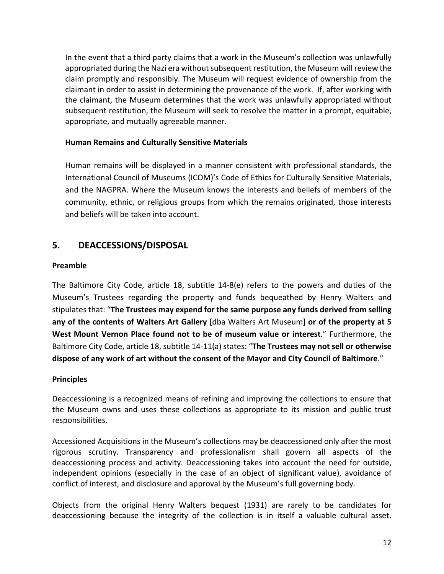In the event that a third party claims that a work in the Museum's collection was unlawfully appropriated during the Nazi era without subsequent restitution, the Museum will review the claim promptly and responsibly. The Museum will request evidence of ownership from the claimant in order to assist in determining the provenance of the work. If, after working with the claimant, the Museum determines that the work was unlawfully appropriated without subsequent restitution, the Museum will seek to resolve the matter in a prompt, equitable, appropriate, and mutually agreeable manner.

## <span id="page-14-0"></span>**Human Remains and Culturally Sensitive Materials**

Human remains will be displayed in a manner consistent with professional standards, the International Council of Museums (ICOM)'s Code of Ethics for Culturally Sensitive Materials, and the NAGPRA. Where the Museum knows the interests and beliefs of members of the community, ethnic, or religious groups from which the remains originated, those interests and beliefs will be taken into account.

## <span id="page-14-1"></span>**5. DEACCESSIONS/DISPOSAL**

### <span id="page-14-2"></span>**Preamble**

The Baltimore City Code, article 18, subtitle 14-8(e) refers to the powers and duties of the Museum's Trustees regarding the property and funds bequeathed by Henry Walters and stipulates that: "**The Trustees may expend for the same purpose any funds derived from selling any of the contents of Walters Art Gallery** [dba Walters Art Museum] **or of the property at 5 West Mount Vernon Place found not to be of museum value or interest**." Furthermore, the Baltimore City Code, article 18, subtitle 14-11(a) states: "**The Trustees may not sell or otherwise dispose of any work of art without the consent of the Mayor and City Council of Baltimore**."

## <span id="page-14-3"></span>**Principles**

Deaccessioning is a recognized means of refining and improving the collections to ensure that the Museum owns and uses these collections as appropriate to its mission and public trust responsibilities.

Accessioned Acquisitions in the Museum's collections may be deaccessioned only after the most rigorous scrutiny. Transparency and professionalism shall govern all aspects of the deaccessioning process and activity. Deaccessioning takes into account the need for outside, independent opinions (especially in the case of an object of significant value), avoidance of conflict of interest, and disclosure and approval by the Museum's full governing body.

Objects from the original Henry Walters bequest (1931) are rarely to be candidates for deaccessioning because the integrity of the collection is in itself a valuable cultural asset.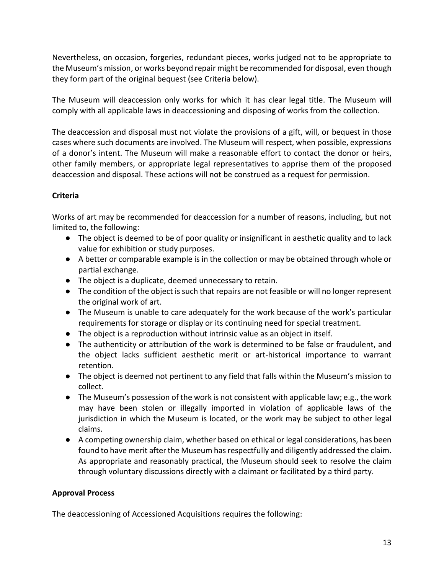Nevertheless, on occasion, forgeries, redundant pieces, works judged not to be appropriate to the Museum's mission, or works beyond repair might be recommended for disposal, even though they form part of the original bequest (see Criteria below).

The Museum will deaccession only works for which it has clear legal title. The Museum will comply with all applicable laws in deaccessioning and disposing of works from the collection.

The deaccession and disposal must not violate the provisions of a gift, will, or bequest in those cases where such documents are involved. The Museum will respect, when possible, expressions of a donor's intent. The Museum will make a reasonable effort to contact the donor or heirs, other family members, or appropriate legal representatives to apprise them of the proposed deaccession and disposal. These actions will not be construed as a request for permission.

## <span id="page-15-0"></span>**Criteria**

Works of art may be recommended for deaccession for a number of reasons, including, but not limited to, the following:

- The object is deemed to be of poor quality or insignificant in aesthetic quality and to lack value for exhibition or study purposes.
- A better or comparable example is in the collection or may be obtained through whole or partial exchange.
- The object is a duplicate, deemed unnecessary to retain.
- The condition of the object is such that repairs are not feasible or will no longer represent the original work of art.
- The Museum is unable to care adequately for the work because of the work's particular requirements for storage or display or its continuing need for special treatment.
- The object is a reproduction without intrinsic value as an object in itself.
- The authenticity or attribution of the work is determined to be false or fraudulent, and the object lacks sufficient aesthetic merit or art-historical importance to warrant retention.
- The object is deemed not pertinent to any field that falls within the Museum's mission to collect.
- The Museum's possession of the work is not consistent with applicable law; e.g., the work may have been stolen or illegally imported in violation of applicable laws of the jurisdiction in which the Museum is located, or the work may be subject to other legal claims.
- A competing ownership claim, whether based on ethical or legal considerations, has been found to have merit after the Museum has respectfully and diligently addressed the claim. As appropriate and reasonably practical, the Museum should seek to resolve the claim through voluntary discussions directly with a claimant or facilitated by a third party.

## <span id="page-15-1"></span>**Approval Process**

The deaccessioning of Accessioned Acquisitions requires the following: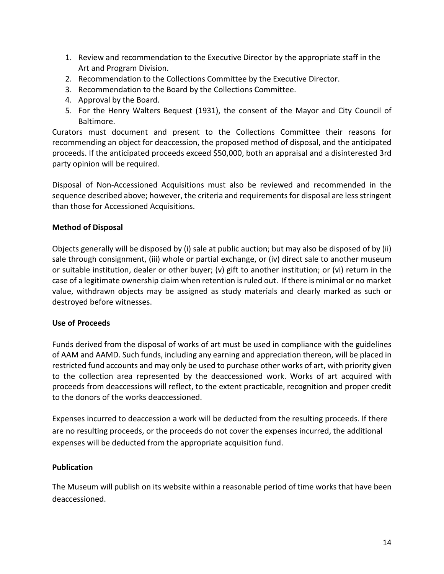- 1. Review and recommendation to the Executive Director by the appropriate staff in the Art and Program Division.
- 2. Recommendation to the Collections Committee by the Executive Director.
- 3. Recommendation to the Board by the Collections Committee.
- 4. Approval by the Board.
- 5. For the Henry Walters Bequest (1931), the consent of the Mayor and City Council of Baltimore.

Curators must document and present to the Collections Committee their reasons for recommending an object for deaccession, the proposed method of disposal, and the anticipated proceeds. If the anticipated proceeds exceed \$50,000, both an appraisal and a disinterested 3rd party opinion will be required.

Disposal of Non-Accessioned Acquisitions must also be reviewed and recommended in the sequence described above; however, the criteria and requirements for disposal are less stringent than those for Accessioned Acquisitions.

## <span id="page-16-0"></span>**Method of Disposal**

Objects generally will be disposed by (i) sale at public auction; but may also be disposed of by (ii) sale through consignment, (iii) whole or partial exchange, or (iv) direct sale to another museum or suitable institution, dealer or other buyer; (v) gift to another institution; or (vi) return in the case of a legitimate ownership claim when retention is ruled out. If there is minimal or no market value, withdrawn objects may be assigned as study materials and clearly marked as such or destroyed before witnesses.

## <span id="page-16-1"></span>**Use of Proceeds**

Funds derived from the disposal of works of art must be used in compliance with the guidelines of AAM and AAMD. Such funds, including any earning and appreciation thereon, will be placed in restricted fund accounts and may only be used to purchase other works of art, with priority given to the collection area represented by the deaccessioned work. Works of art acquired with proceeds from deaccessions will reflect, to the extent practicable, recognition and proper credit to the donors of the works deaccessioned.

Expenses incurred to deaccession a work will be deducted from the resulting proceeds. If there are no resulting proceeds, or the proceeds do not cover the expenses incurred, the additional expenses will be deducted from the appropriate acquisition fund.

## **Publication**

The Museum will publish on its website within a reasonable period of time works that have been deaccessioned.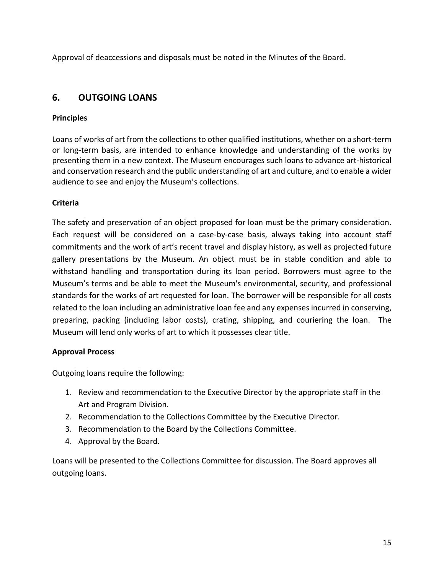Approval of deaccessions and disposals must be noted in the Minutes of the Board.

# <span id="page-17-0"></span>**6. OUTGOING LOANS**

## <span id="page-17-1"></span>**Principles**

Loans of works of art from the collections to other qualified institutions, whether on a short-term or long-term basis, are intended to enhance knowledge and understanding of the works by presenting them in a new context. The Museum encourages such loans to advance art-historical and conservation research and the public understanding of art and culture, and to enable a wider audience to see and enjoy the Museum's collections.

## <span id="page-17-2"></span>**Criteria**

The safety and preservation of an object proposed for loan must be the primary consideration. Each request will be considered on a case-by-case basis, always taking into account staff commitments and the work of art's recent travel and display history, as well as projected future gallery presentations by the Museum. An object must be in stable condition and able to withstand handling and transportation during its loan period. Borrowers must agree to the Museum's terms and be able to meet the Museum's environmental, security, and professional standards for the works of art requested for loan. The borrower will be responsible for all costs related to the loan including an administrative loan fee and any expenses incurred in conserving, preparing, packing (including labor costs), crating, shipping, and couriering the loan. The Museum will lend only works of art to which it possesses clear title.

## <span id="page-17-3"></span>**Approval Process**

Outgoing loans require the following:

- 1. Review and recommendation to the Executive Director by the appropriate staff in the Art and Program Division.
- 2. Recommendation to the Collections Committee by the Executive Director.
- 3. Recommendation to the Board by the Collections Committee.
- 4. Approval by the Board.

Loans will be presented to the Collections Committee for discussion. The Board approves all outgoing loans.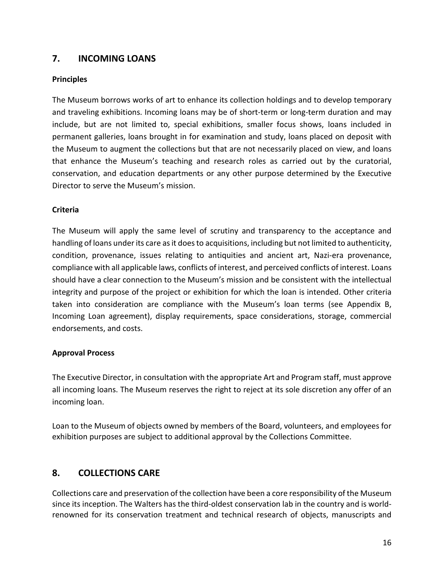# <span id="page-18-0"></span>**7. INCOMING LOANS**

## <span id="page-18-1"></span>**Principles**

The Museum borrows works of art to enhance its collection holdings and to develop temporary and traveling exhibitions. Incoming loans may be of short-term or long-term duration and may include, but are not limited to, special exhibitions, smaller focus shows, loans included in permanent galleries, loans brought in for examination and study, loans placed on deposit with the Museum to augment the collections but that are not necessarily placed on view, and loans that enhance the Museum's teaching and research roles as carried out by the curatorial, conservation, and education departments or any other purpose determined by the Executive Director to serve the Museum's mission.

## <span id="page-18-2"></span>**Criteria**

The Museum will apply the same level of scrutiny and transparency to the acceptance and handling of loans under its care as it does to acquisitions, including but not limited to authenticity, condition, provenance, issues relating to antiquities and ancient art, Nazi-era provenance, compliance with all applicable laws, conflicts of interest, and perceived conflicts of interest. Loans should have a clear connection to the Museum's mission and be consistent with the intellectual integrity and purpose of the project or exhibition for which the loan is intended. Other criteria taken into consideration are compliance with the Museum's loan terms (see Appendix B, Incoming Loan agreement), display requirements, space considerations, storage, commercial endorsements, and costs.

## <span id="page-18-3"></span>**Approval Process**

The Executive Director, in consultation with the appropriate Art and Program staff, must approve all incoming loans. The Museum reserves the right to reject at its sole discretion any offer of an incoming loan.

Loan to the Museum of objects owned by members of the Board, volunteers, and employees for exhibition purposes are subject to additional approval by the Collections Committee.

# <span id="page-18-4"></span>**8. COLLECTIONS CARE**

Collections care and preservation of the collection have been a core responsibility of the Museum since its inception. The Walters has the third-oldest conservation lab in the country and is worldrenowned for its conservation treatment and technical research of objects, manuscripts and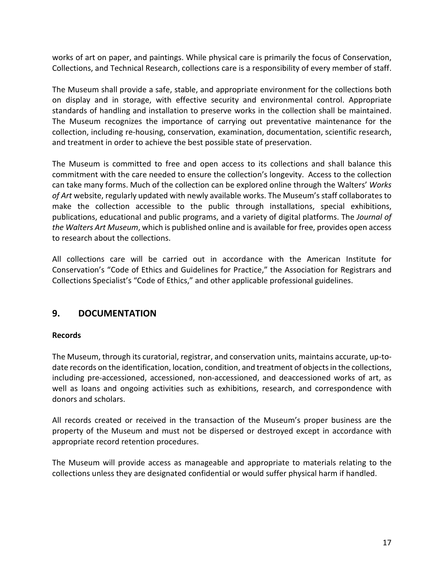works of art on paper, and paintings. While physical care is primarily the focus of Conservation, Collections, and Technical Research, collections care is a responsibility of every member of staff.

The Museum shall provide a safe, stable, and appropriate environment for the collections both on display and in storage, with effective security and environmental control. Appropriate standards of handling and installation to preserve works in the collection shall be maintained. The Museum recognizes the importance of carrying out preventative maintenance for the collection, including re-housing, conservation, examination, documentation, scientific research, and treatment in order to achieve the best possible state of preservation.

The Museum is committed to free and open access to its collections and shall balance this commitment with the care needed to ensure the collection's longevity. Access to the collection can take many forms. Much of the collection can be explored online through [the Walters'](http://art.thewalters.org/) *[Works](http://art.thewalters.org/)  [of Art](http://art.thewalters.org/)* [website,](http://art.thewalters.org/) regularly updated with newly available works. The Museum's staff collaborates to make the collection accessible to the public through installations, special exhibitions, publications, educational and public programs, and a variety of digital platforms. Th[e](https://journal.thewalters.org/) *[Journal of](https://journal.thewalters.org/)  [the Walters Art Museum](https://journal.thewalters.org/)*[, w](https://journal.thewalters.org/)hich is published online and is available for free, provides open access to research about the collections.

All collections care will be carried out in accordance with the American Institute for Conservation's "Code of Ethics and Guidelines for Practice," the Association for Registrars and Collections Specialist's "Code of Ethics," and other applicable professional guidelines.

# <span id="page-19-0"></span>**9. DOCUMENTATION**

## <span id="page-19-1"></span>**Records**

The Museum, through its curatorial, registrar, and conservation units, maintains accurate, up-todate records on the identification, location, condition, and treatment of objects in the collections, including pre-accessioned, accessioned, non-accessioned, and deaccessioned works of art, as well as loans and ongoing activities such as exhibitions, research, and correspondence with donors and scholars.

All records created or received in the transaction of the Museum's proper business are the property of the Museum and must not be dispersed or destroyed except in accordance with appropriate record retention procedures.

The Museum will provide access as manageable and appropriate to materials relating to the collections unless they are designated confidential or would suffer physical harm if handled.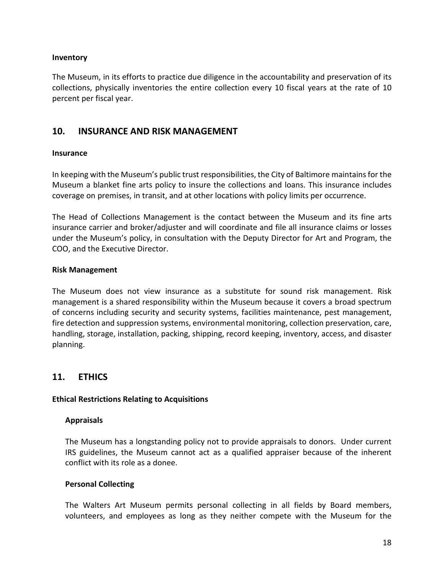#### <span id="page-20-0"></span>**Inventory**

The Museum, in its efforts to practice due diligence in the accountability and preservation of its collections, physically inventories the entire collection every 10 fiscal years at the rate of 10 percent per fiscal year.

## <span id="page-20-1"></span>**10. INSURANCE AND RISK MANAGEMENT**

#### <span id="page-20-2"></span>**Insurance**

In keeping with the Museum's public trust responsibilities, the City of Baltimore maintains for the Museum a blanket fine arts policy to insure the collections and loans. This insurance includes coverage on premises, in transit, and at other locations with policy limits per occurrence.

The Head of Collections Management is the contact between the Museum and its fine arts insurance carrier and broker/adjuster and will coordinate and file all insurance claims or losses under the Museum's policy, in consultation with the Deputy Director for Art and Program, the COO, and the Executive Director.

#### <span id="page-20-3"></span>**Risk Management**

The Museum does not view insurance as a substitute for sound risk management. Risk management is a shared responsibility within the Museum because it covers a broad spectrum of concerns including security and security systems, facilities maintenance, pest management, fire detection and suppression systems, environmental monitoring, collection preservation, care, handling, storage, installation, packing, shipping, record keeping, inventory, access, and disaster planning.

## <span id="page-20-4"></span>**11. ETHICS**

#### <span id="page-20-5"></span>**Ethical Restrictions Relating to Acquisitions**

#### <span id="page-20-6"></span>**Appraisals**

The Museum has a longstanding policy not to provide appraisals to donors. Under current IRS guidelines, the Museum cannot act as a qualified appraiser because of the inherent conflict with its role as a donee.

#### <span id="page-20-7"></span>**Personal Collecting**

The Walters Art Museum permits personal collecting in all fields by Board members, volunteers, and employees as long as they neither compete with the Museum for the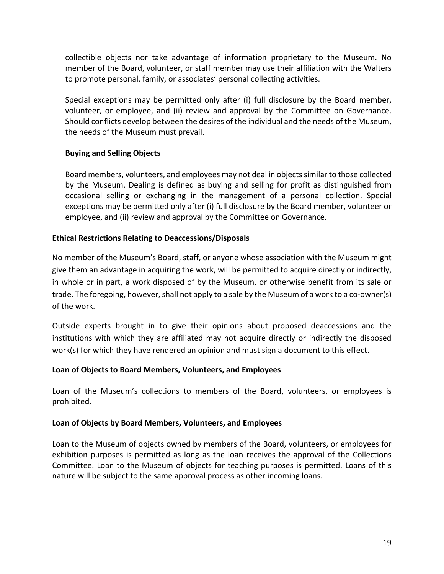collectible objects nor take advantage of information proprietary to the Museum. No member of the Board, volunteer, or staff member may use their affiliation with the Walters to promote personal, family, or associates' personal collecting activities.

Special exceptions may be permitted only after (i) full disclosure by the Board member, volunteer, or employee, and (ii) review and approval by the Committee on Governance. Should conflicts develop between the desires of the individual and the needs of the Museum, the needs of the Museum must prevail.

## <span id="page-21-0"></span>**Buying and Selling Objects**

Board members, volunteers, and employees may not deal in objects similar to those collected by the Museum. Dealing is defined as buying and selling for profit as distinguished from occasional selling or exchanging in the management of a personal collection. Special exceptions may be permitted only after (i) full disclosure by the Board member, volunteer or employee, and (ii) review and approval by the Committee on Governance.

## <span id="page-21-1"></span>**Ethical Restrictions Relating to Deaccessions/Disposals**

No member of the Museum's Board, staff, or anyone whose association with the Museum might give them an advantage in acquiring the work, will be permitted to acquire directly or indirectly, in whole or in part, a work disposed of by the Museum, or otherwise benefit from its sale or trade. The foregoing, however, shall not apply to a sale by the Museum of a work to a co-owner(s) of the work.

Outside experts brought in to give their opinions about proposed deaccessions and the institutions with which they are affiliated may not acquire directly or indirectly the disposed work(s) for which they have rendered an opinion and must sign a document to this effect.

## <span id="page-21-2"></span>**Loan of Objects to Board Members, Volunteers, and Employees**

Loan of the Museum's collections to members of the Board, volunteers, or employees is prohibited.

## <span id="page-21-3"></span>**Loan of Objects by Board Members, Volunteers, and Employees**

Loan to the Museum of objects owned by members of the Board, volunteers, or employees for exhibition purposes is permitted as long as the loan receives the approval of the Collections Committee. Loan to the Museum of objects for teaching purposes is permitted. Loans of this nature will be subject to the same approval process as other incoming loans.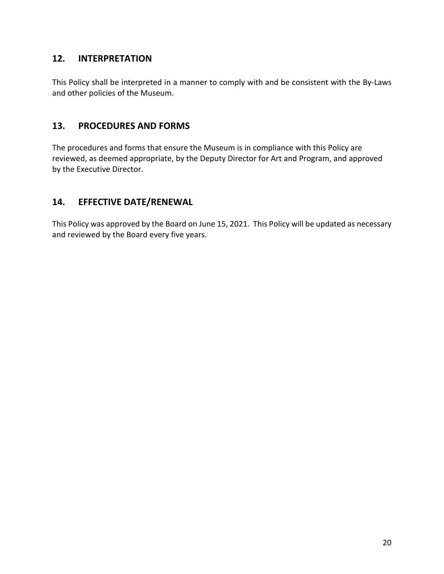# <span id="page-22-0"></span>**12. INTERPRETATION**

This Policy shall be interpreted in a manner to comply with and be consistent with the By-Laws and other policies of the Museum.

## <span id="page-22-1"></span>**13. PROCEDURES AND FORMS**

The procedures and forms that ensure the Museum is in compliance with this Policy are reviewed, as deemed appropriate, by the Deputy Director for Art and Program, and approved by the Executive Director.

# <span id="page-22-2"></span>**14. EFFECTIVE DATE/RENEWAL**

This Policy was approved by the Board on June 15, 2021. This Policy will be updated as necessary and reviewed by the Board every five years.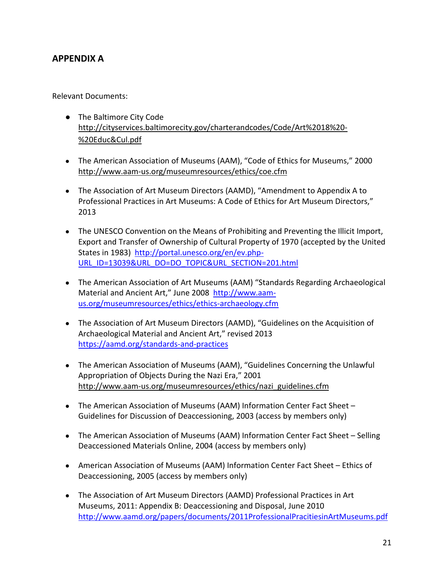# <span id="page-23-0"></span>**APPENDIX A**

Relevant Documents:

- The Baltimore City Code [http://cityservices.baltimorecity.gov/charterandcodes/Code/Art%2018%20-](http://cityservices.baltimorecity.gov/charterandcodes/Code/Art%252018%2520-%2520Educ&Cul.pdf) [%20Educ&Cul.pdf](http://cityservices.baltimorecity.gov/charterandcodes/Code/Art%252018%2520-%2520Educ&Cul.pdf)
- The American Association of Museums (AAM), "Code of Ethics for Museums," 2000 <http://www.aam-us.org/museumresources/ethics/coe.cfm>
- The Association of Art Museum Directors (AAMD), "Amendment to Appendix A to Professional Practices in Art Museums: A Code of Ethics for Art Museum Directors," 2013
- The UNESCO Convention on the Means of Prohibiting and Preventing the Illicit Import, Export and Transfer of Ownership of Cultural Property of 1970 (accepted by the United States in 1983) [http://portal.unesco.org/en/ev.php-](http://portal.unesco.org/en/ev.php-URL_ID=13039&URL_DO=DO_TOPIC&URL_SECTION=201.html)[URL\\_ID=13039&URL\\_DO=DO\\_TOPIC&URL\\_SECTION=201.html](http://portal.unesco.org/en/ev.php-URL_ID=13039&URL_DO=DO_TOPIC&URL_SECTION=201.html)
- The American Association of Art Museums (AAM) "Standards Regarding Archaeological Material and Ancient Art," June 2008 [http://www.aam](http://www.aam-us.org/museumresources/ethics/ethics-archaeology.cfm)[us.org/museumresources/ethics/ethics-archaeology.cfm](http://www.aam-us.org/museumresources/ethics/ethics-archaeology.cfm)
- The Association of Art Museum Directors (AAMD), "Guidelines on the Acquisition of Archaeological Material and Ancient Art," revised 2013 <https://aamd.org/standards-and-practices>
- The American Association of Museums (AAM), "Guidelines Concerning the Unlawful Appropriation of Objects During the Nazi Era," 2001 [http://www.aam-us.org/museumresources/ethics/nazi\\_guidelines.cfm](http://www.aam-us.org/museumresources/ethics/nazi_guidelines.cfm)
- The American Association of Museums (AAM) Information Center Fact Sheet Guidelines for Discussion of Deaccessioning, 2003 (access by members only)
- The American Association of Museums (AAM) Information Center Fact Sheet Selling Deaccessioned Materials Online, 2004 (access by members only)
- American Association of Museums (AAM) Information Center Fact Sheet Ethics of Deaccessioning, 2005 (access by members only)
- The Association of Art Museum Directors (AAMD) Professional Practices in Art Museums, 2011: Appendix B: Deaccessioning and Disposal, June 2010 <http://www.aamd.org/papers/documents/2011ProfessionalPracitiesinArtMuseums.pdf>